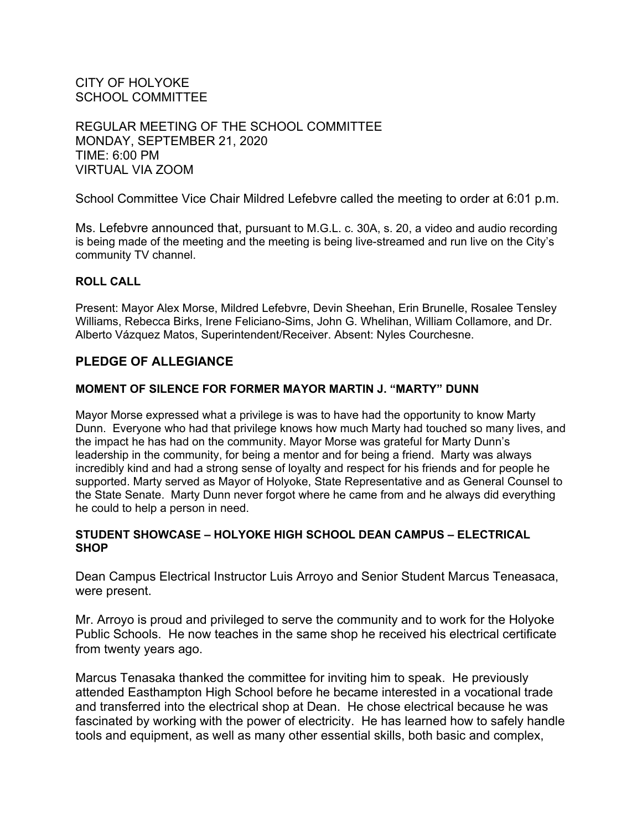CITY OF HOLYOKE SCHOOL COMMITTEE

REGULAR MEETING OF THE SCHOOL COMMITTEE MONDAY, SEPTEMBER 21, 2020 TIME: 6:00 PM VIRTUAL VIA ZOOM

School Committee Vice Chair Mildred Lefebvre called the meeting to order at 6:01 p.m.

Ms. Lefebvre announced that, pursuant to M.G.L. c. 30A, s. 20, a video and audio recording is being made of the meeting and the meeting is being live-streamed and run live on the City's community TV channel.

#### **ROLL CALL**

Present: Mayor Alex Morse, Mildred Lefebvre, Devin Sheehan, Erin Brunelle, Rosalee Tensley Williams, Rebecca Birks, Irene Feliciano-Sims, John G. Whelihan, William Collamore, and Dr. Alberto Vázquez Matos, Superintendent/Receiver. Absent: Nyles Courchesne.

### **PLEDGE OF ALLEGIANCE**

#### **MOMENT OF SILENCE FOR FORMER MAYOR MARTIN J. "MARTY" DUNN**

Mayor Morse expressed what a privilege is was to have had the opportunity to know Marty Dunn. Everyone who had that privilege knows how much Marty had touched so many lives, and the impact he has had on the community. Mayor Morse was grateful for Marty Dunn's leadership in the community, for being a mentor and for being a friend. Marty was always incredibly kind and had a strong sense of loyalty and respect for his friends and for people he supported. Marty served as Mayor of Holyoke, State Representative and as General Counsel to the State Senate. Marty Dunn never forgot where he came from and he always did everything he could to help a person in need.

#### **STUDENT SHOWCASE – HOLYOKE HIGH SCHOOL DEAN CAMPUS – ELECTRICAL SHOP**

Dean Campus Electrical Instructor Luis Arroyo and Senior Student Marcus Teneasaca, were present.

Mr. Arroyo is proud and privileged to serve the community and to work for the Holyoke Public Schools. He now teaches in the same shop he received his electrical certificate from twenty years ago.

Marcus Tenasaka thanked the committee for inviting him to speak. He previously attended Easthampton High School before he became interested in a vocational trade and transferred into the electrical shop at Dean. He chose electrical because he was fascinated by working with the power of electricity. He has learned how to safely handle tools and equipment, as well as many other essential skills, both basic and complex,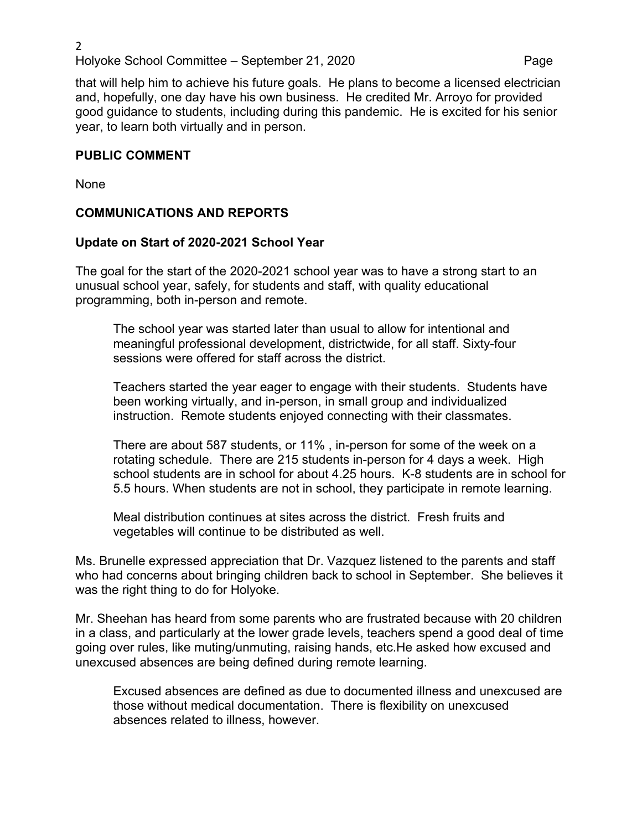#### 2 Holyoke School Committee – September 21, 2020 Page

that will help him to achieve his future goals. He plans to become a licensed electrician and, hopefully, one day have his own business. He credited Mr. Arroyo for provided good guidance to students, including during this pandemic. He is excited for his senior year, to learn both virtually and in person.

### **PUBLIC COMMENT**

None

# **COMMUNICATIONS AND REPORTS**

# **Update on Start of 2020-2021 School Year**

The goal for the start of the 2020-2021 school year was to have a strong start to an unusual school year, safely, for students and staff, with quality educational programming, both in-person and remote.

The school year was started later than usual to allow for intentional and meaningful professional development, districtwide, for all staff. Sixty-four sessions were offered for staff across the district.

Teachers started the year eager to engage with their students. Students have been working virtually, and in-person, in small group and individualized instruction. Remote students enjoyed connecting with their classmates.

There are about 587 students, or 11% , in-person for some of the week on a rotating schedule. There are 215 students in-person for 4 days a week. High school students are in school for about 4.25 hours. K-8 students are in school for 5.5 hours. When students are not in school, they participate in remote learning.

Meal distribution continues at sites across the district. Fresh fruits and vegetables will continue to be distributed as well.

Ms. Brunelle expressed appreciation that Dr. Vazquez listened to the parents and staff who had concerns about bringing children back to school in September. She believes it was the right thing to do for Holyoke.

Mr. Sheehan has heard from some parents who are frustrated because with 20 children in a class, and particularly at the lower grade levels, teachers spend a good deal of time going over rules, like muting/unmuting, raising hands, etc.He asked how excused and unexcused absences are being defined during remote learning.

Excused absences are defined as due to documented illness and unexcused are those without medical documentation. There is flexibility on unexcused absences related to illness, however.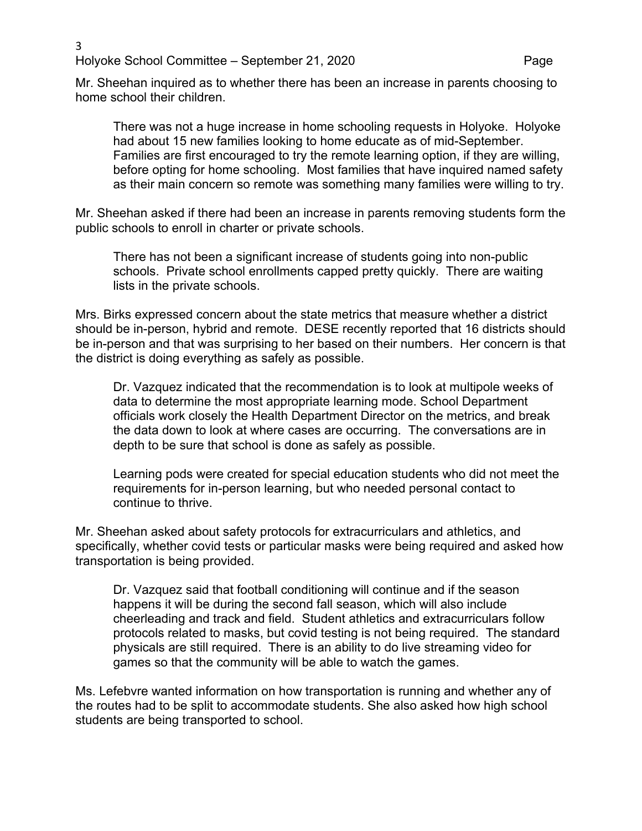3 Holyoke School Committee – September 21, 2020 Page

Mr. Sheehan inquired as to whether there has been an increase in parents choosing to home school their children.

There was not a huge increase in home schooling requests in Holyoke. Holyoke had about 15 new families looking to home educate as of mid-September. Families are first encouraged to try the remote learning option, if they are willing, before opting for home schooling. Most families that have inquired named safety as their main concern so remote was something many families were willing to try.

Mr. Sheehan asked if there had been an increase in parents removing students form the public schools to enroll in charter or private schools.

There has not been a significant increase of students going into non-public schools. Private school enrollments capped pretty quickly. There are waiting lists in the private schools.

Mrs. Birks expressed concern about the state metrics that measure whether a district should be in-person, hybrid and remote. DESE recently reported that 16 districts should be in-person and that was surprising to her based on their numbers. Her concern is that the district is doing everything as safely as possible.

Dr. Vazquez indicated that the recommendation is to look at multipole weeks of data to determine the most appropriate learning mode. School Department officials work closely the Health Department Director on the metrics, and break the data down to look at where cases are occurring. The conversations are in depth to be sure that school is done as safely as possible.

Learning pods were created for special education students who did not meet the requirements for in-person learning, but who needed personal contact to continue to thrive.

Mr. Sheehan asked about safety protocols for extracurriculars and athletics, and specifically, whether covid tests or particular masks were being required and asked how transportation is being provided.

Dr. Vazquez said that football conditioning will continue and if the season happens it will be during the second fall season, which will also include cheerleading and track and field. Student athletics and extracurriculars follow protocols related to masks, but covid testing is not being required. The standard physicals are still required. There is an ability to do live streaming video for games so that the community will be able to watch the games.

Ms. Lefebvre wanted information on how transportation is running and whether any of the routes had to be split to accommodate students. She also asked how high school students are being transported to school.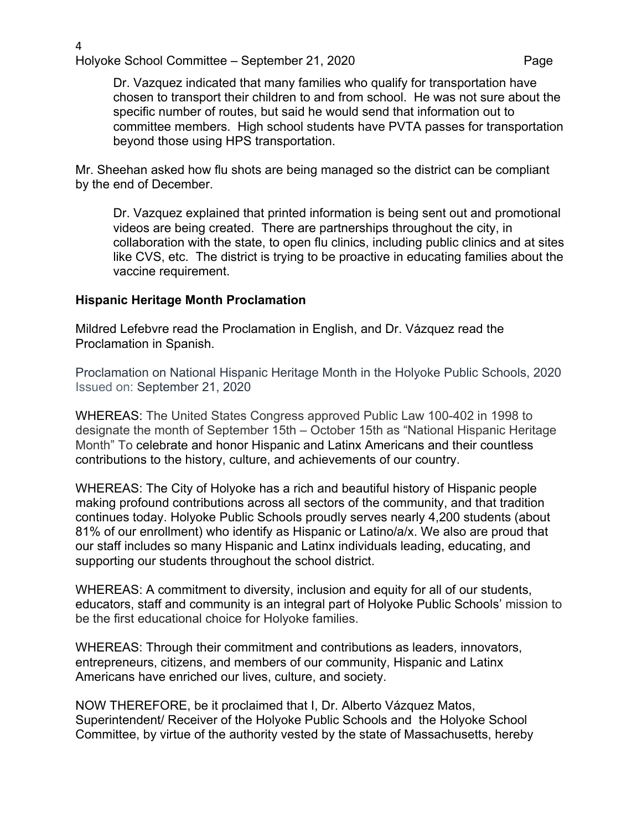Dr. Vazquez indicated that many families who qualify for transportation have chosen to transport their children to and from school. He was not sure about the specific number of routes, but said he would send that information out to committee members. High school students have PVTA passes for transportation beyond those using HPS transportation.

Mr. Sheehan asked how flu shots are being managed so the district can be compliant by the end of December.

Dr. Vazquez explained that printed information is being sent out and promotional videos are being created. There are partnerships throughout the city, in collaboration with the state, to open flu clinics, including public clinics and at sites like CVS, etc. The district is trying to be proactive in educating families about the vaccine requirement.

### **Hispanic Heritage Month Proclamation**

Mildred Lefebvre read the Proclamation in English, and Dr. Vázquez read the Proclamation in Spanish.

Proclamation on National Hispanic Heritage Month in the Holyoke Public Schools, 2020 Issued on: September 21, 2020

WHEREAS: The United States Congress approved Public Law 100-402 in 1998 to designate the month of September 15th – October 15th as "National Hispanic Heritage Month" To celebrate and honor Hispanic and Latinx Americans and their countless contributions to the history, culture, and achievements of our country.

WHEREAS: The City of Holyoke has a rich and beautiful history of Hispanic people making profound contributions across all sectors of the community, and that tradition continues today. Holyoke Public Schools proudly serves nearly 4,200 students (about 81% of our enrollment) who identify as Hispanic or Latino/a/x. We also are proud that our staff includes so many Hispanic and Latinx individuals leading, educating, and supporting our students throughout the school district.

WHEREAS: A commitment to diversity, inclusion and equity for all of our students, educators, staff and community is an integral part of Holyoke Public Schools' mission to be the first educational choice for Holyoke families.

WHEREAS: Through their commitment and contributions as leaders, innovators, entrepreneurs, citizens, and members of our community, Hispanic and Latinx Americans have enriched our lives, culture, and society.

NOW THEREFORE, be it proclaimed that I, Dr. Alberto Vázquez Matos, Superintendent/ Receiver of the Holyoke Public Schools and the Holyoke School Committee, by virtue of the authority vested by the state of Massachusetts, hereby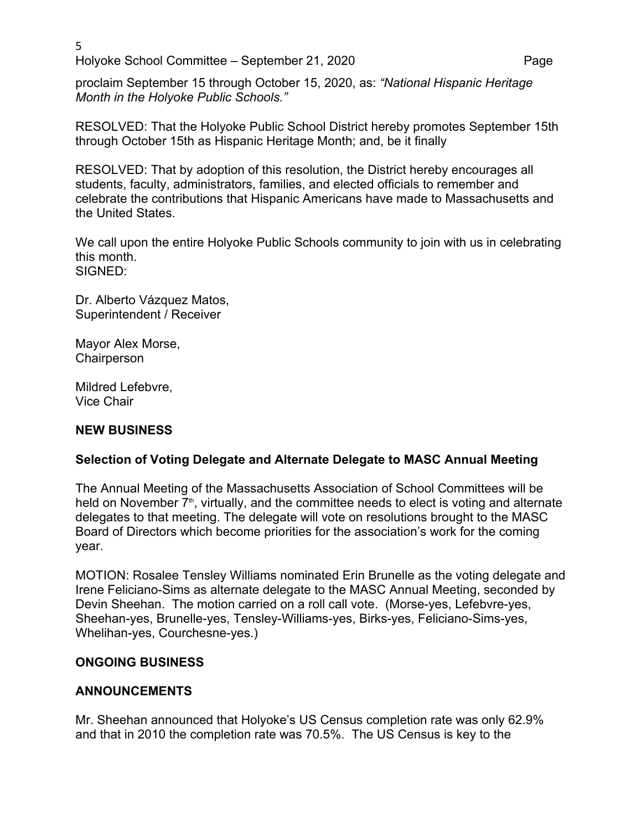$5<sub>2</sub>$ Holyoke School Committee – September 21, 2020 Page

proclaim September 15 through October 15, 2020, as: *"National Hispanic Heritage Month in the Holyoke Public Schools."*

RESOLVED: That the Holyoke Public School District hereby promotes September 15th through October 15th as Hispanic Heritage Month; and, be it finally

RESOLVED: That by adoption of this resolution, the District hereby encourages all students, faculty, administrators, families, and elected officials to remember and celebrate the contributions that Hispanic Americans have made to Massachusetts and the United States.

We call upon the entire Holyoke Public Schools community to join with us in celebrating this month. SIGNED:

Dr. Alberto Vázquez Matos, Superintendent / Receiver

Mayor Alex Morse, **Chairperson** 

Mildred Lefebvre, Vice Chair

# **NEW BUSINESS**

# **Selection of Voting Delegate and Alternate Delegate to MASC Annual Meeting**

The Annual Meeting of the Massachusetts Association of School Committees will be held on November  $7<sup>th</sup>$ , virtually, and the committee needs to elect is voting and alternate delegates to that meeting. The delegate will vote on resolutions brought to the MASC Board of Directors which become priorities for the association's work for the coming year.

MOTION: Rosalee Tensley Williams nominated Erin Brunelle as the voting delegate and Irene Feliciano-Sims as alternate delegate to the MASC Annual Meeting, seconded by Devin Sheehan. The motion carried on a roll call vote. (Morse-yes, Lefebvre-yes, Sheehan-yes, Brunelle-yes, Tensley-Williams-yes, Birks-yes, Feliciano-Sims-yes, Whelihan-yes, Courchesne-yes.)

### **ONGOING BUSINESS**

# **ANNOUNCEMENTS**

Mr. Sheehan announced that Holyoke's US Census completion rate was only 62.9% and that in 2010 the completion rate was 70.5%. The US Census is key to the